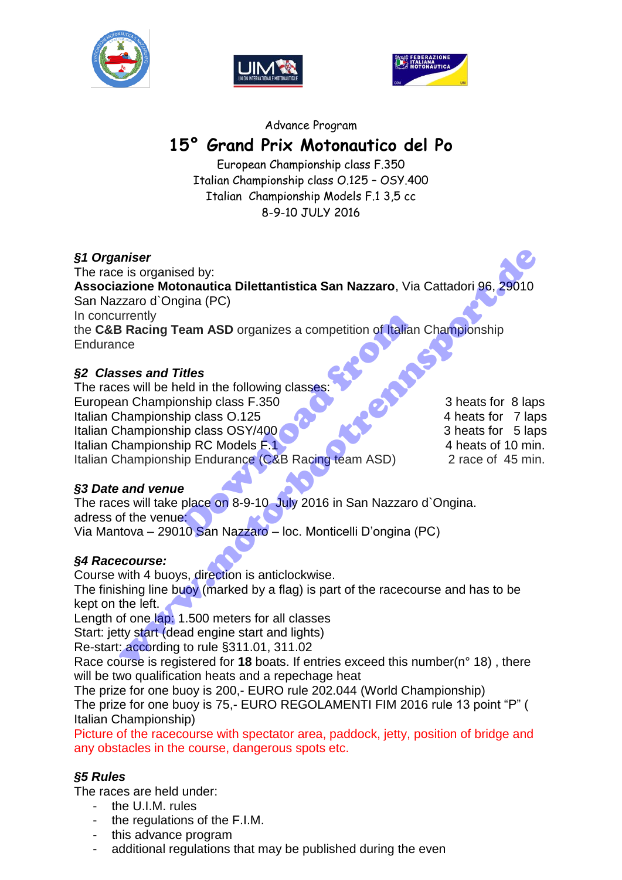





### Advance Program

# **15° Grand Prix Motonautico del Po**

European Championship class F.350 Italian Championship class O.125 – OSY.400 Italian Championship Models F.1 3,5 cc 8-9-10 JULY 2016

# *§1 Organiser*

The race is organised by: **Associazione Motonautica Dilettantistica San Nazzaro**, Via Cattadori 96, 29010 San Nazzaro d`Ongina (PC) In concurrently the **C&B Racing Team ASD** organizes a competition of Italian Championship **Endurance** miser<br>
is organised by:<br>
azione Motonautica Dilettantistica San Nazzaro, Via Cattadori 96, 29010<br>
zzaro d'Ongina (PC)<br>
armampionship class CSY/400<br>
is Racing Team ASD organizes a competition of Italian Championship<br>
nce<br>
s

# *§2 Classes and Titles*

The races will be held in the following classes European Championship class F.350 3 heats for 8 laps Italian Championship class O.125 6 and the set of the 4 heats for 7 laps Italian Championship class OSY/400 Italian Championship RC Models F.1 4 heats of 10 min. Italian Championship Endurance (C&B Racing team ASD) 2 race of 45 min. eam ASD organizes a competition of Italian<br>
Titles<br>
eld in the following classes:<br>
Innship class F.350<br>
Inp class OSY/400<br>
Inp RC Models F.1<br>
Inp Endurance (C&B Racing team ASD)<br>
e<br>
place on 8-9-10 July 2016 in San Nazzaro

# *§3 Date and venue*

The races will take place on 8-9-10 July 2016 in San Nazzaro d`Ongina. adress of the venue:

Via Mantova – 29010 San Nazzaro – loc. Monticelli D'ongina (PC)

# *§4 Racecourse:*

Course with 4 buoys, direction is anticlockwise.

The finishing line buoy (marked by a flag) is part of the racecourse and has to be kept on the left.

Length of one lap: 1.500 meters for all classes

Start: jetty start (dead engine start and lights)

Re-start: according to rule §311.01, 311.02

Race course is registered for **18** boats. If entries exceed this number(n° 18) , there will be two qualification heats and a repechage heat

The prize for one buoy is 200,- EURO rule 202.044 (World Championship) The prize for one buoy is 75,- EURO REGOLAMENTI FIM 2016 rule 13 point "P" ( Italian Championship)

Picture of the racecourse with spectator area, paddock, jetty, position of bridge and any obstacles in the course, dangerous spots etc.

# *§5 Rules*

The races are held under:

- the U.I.M. rules
- the regulations of the F.I.M.
- this advance program
- additional regulations that may be published during the even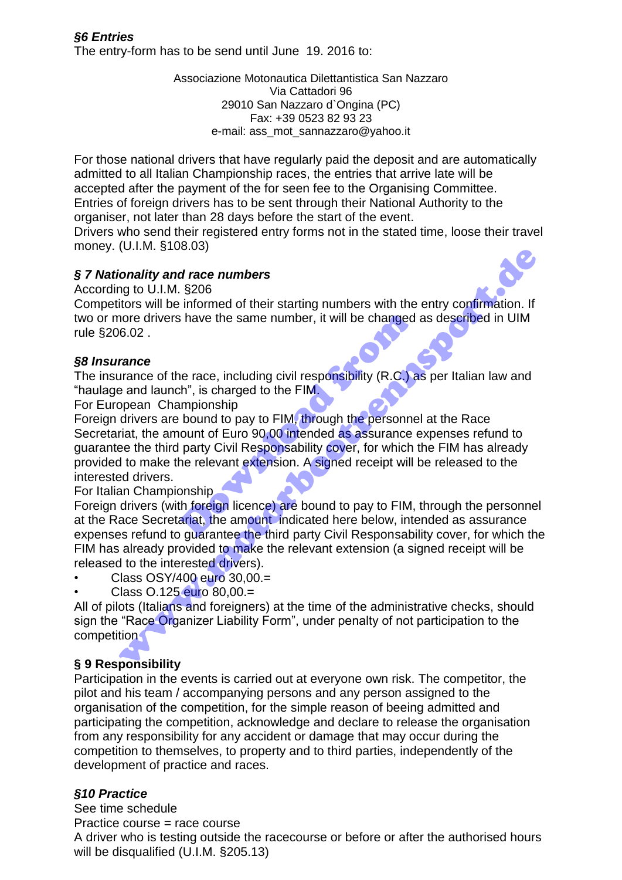# *§6 Entries*  The entry-form has to be send until June 19. 2016 to:

Associazione Motonautica Dilettantistica San Nazzaro Via Cattadori 96 29010 San Nazzaro d`Ongina (PC) Fax: +39 0523 82 93 23 e-mail: ass\_mot\_sannazzaro@yahoo.it

For those national drivers that have regularly paid the deposit and are automatically admitted to all Italian Championship races, the entries that arrive late will be accepted after the payment of the for seen fee to the Organising Committee. Entries of foreign drivers has to be sent through their National Authority to the organiser, not later than 28 days before the start of the event.

Drivers who send their registered entry forms not in the stated time, loose their travel money. (U.I.M. §108.03)

# *§ 7 Nationality and race numbers*

According to U.I.M. §206

Competitors will be informed of their starting numbers with the entry confirmation. If two or more drivers have the same number, it will be changed as described in UIM rule §206.02 .

# *§8 Insurance*

The insurance of the race, including civil responsibility (R.C.) as per Italian law and "haulage and launch", is charged to the FIM.

For European Championship

Foreign drivers are bound to pay to FIM, through the personnel at the Race Secretariat, the amount of Euro 90,00 intended as assurance expenses refund to guarantee the third party Civil Responsability cover, for which the FIM has already provided to make the relevant extension. A signed receipt will be released to the interested drivers. Shave the same number, it will be changed<br>
is have the same number, it will be changed<br>
the race, including civil responsibility (R.C.) a<br>
th<sup>"</sup>, is charged to the FIM.<br>
Impionship<br>
bound to pay to FIM, through the personn (o.n.w. strocker)<br>
fonality and race numbers<br>
ing to U.I.M. \$206<br>
itors will be informed of their starting numbers with the entry confirmation. If<br>
nore diviers have the same number, it will be changed as described in UIM<br>

For Italian Championship

Foreign drivers (with foreign licence) are bound to pay to FIM, through the personnel at the Race Secretariat, the amount indicated here below, intended as assurance expenses refund to guarantee the third party Civil Responsability cover, for which the FIM has already provided to make the relevant extension (a signed receipt will be released to the interested drivers).

• Class OSY/400 euro 30,00.=

• Class O.125 euro 80,00.=

All of pilots (Italians and foreigners) at the time of the administrative checks, should sign the "Race Organizer Liability Form", under penalty of not participation to the competition

# **§ 9 Responsibility**

Participation in the events is carried out at everyone own risk. The competitor, the pilot and his team / accompanying persons and any person assigned to the organisation of the competition, for the simple reason of beeing admitted and participating the competition, acknowledge and declare to release the organisation from any responsibility for any accident or damage that may occur during the competition to themselves, to property and to third parties, independently of the development of practice and races.

# *§10 Practice*

See time schedule Practice course = race course A driver who is testing outside the racecourse or before or after the authorised hours will be disqualified (U.I.M. §205.13)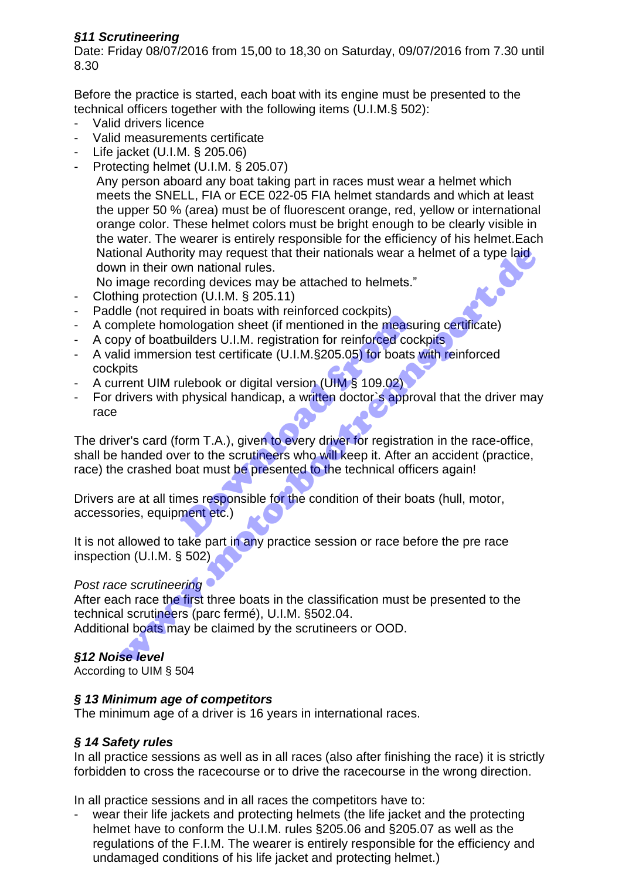# *§11 Scrutineering*

Date: Friday 08/07/2016 from 15,00 to 18,30 on Saturday, 09/07/2016 from 7.30 until 8.30

Before the practice is started, each boat with its engine must be presented to the technical officers together with the following items (U.I.M.§ 502):

- Valid drivers licence
- Valid measurements certificate
- Life jacket (U.I.M. § 205.06)
- Protecting helmet (U.I.M. § 205.07)

Any person aboard any boat taking part in races must wear a helmet which meets the SNELL, FIA or ECE 022-05 FIA helmet standards and which at least the upper 50 % (area) must be of fluorescent orange, red, yellow or international orange color. These helmet colors must be bright enough to be clearly visible in the water. The wearer is entirely responsible for the efficiency of his helmet.Each National Authority may request that their nationals wear a helmet of a type laid down in their own national rules.

No image recording devices may be attached to helmets."

- Clothing protection (U.I.M. § 205.11)
- Paddle (not required in boats with reinforced cockpits)
- A complete homologation sheet (if mentioned in the measuring certificate)
- A copy of boatbuilders U.I.M. registration for reinforced cockpits
- A valid immersion test certificate (U.I.M.§205.05) for boats with reinforced cockpits
- A current UIM rulebook or digital version (UIM § 109.02)
- For drivers with physical handicap, a written doctor's approval that the driver may race

The driver's card (form T.A.), given to every driver for registration in the race-office, shall be handed over to the scrutineers who will keep it. After an accident (practice, race) the crashed boat must be presented to the technical officers again! ance in boats wirremnoted cookplus)<br>nologation sheet (if mentioned in the measure wilders U.I.M. registration for reinforced cocon<br>test certificate (U.I.M.§205.05) for boats<br>ulebook or digital version (UIM § 109.02)<br>physic onal Authority may request that their nationals wear a helmet of a type laid<br>
in in their cwn national rules.<br>
Image recording devices may be attached to helmets."<br>
In my protection (U.I.M. § 205.11)<br>
alle (not required in

Drivers are at all times responsible for the condition of their boats (hull, motor, accessories, equipment etc.)

It is not allowed to take part in any practice session or race before the pre race inspection (U.I.M. § 502)

# *Post race scrutineering*

After each race the first three boats in the classification must be presented to the technical scrutineers (parc fermé), U.I.M. §502.04. Additional boats may be claimed by the scrutineers or OOD.

# *§12 Noise level*

According to UIM § 504

# *§ 13 Minimum age of competitors*

The minimum age of a driver is 16 years in international races.

# *§ 14 Safety rules*

In all practice sessions as well as in all races (also after finishing the race) it is strictly forbidden to cross the racecourse or to drive the racecourse in the wrong direction.

In all practice sessions and in all races the competitors have to:

wear their life jackets and protecting helmets (the life jacket and the protecting helmet have to conform the U.I.M. rules §205.06 and §205.07 as well as the regulations of the F.I.M. The wearer is entirely responsible for the efficiency and undamaged conditions of his life jacket and protecting helmet.)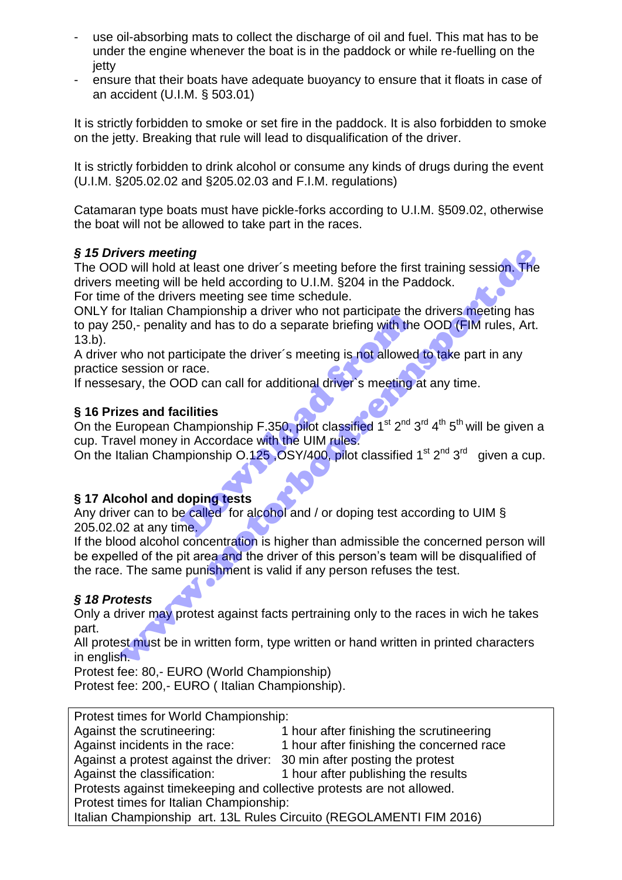- use oil-absorbing mats to collect the discharge of oil and fuel. This mat has to be under the engine whenever the boat is in the paddock or while re-fuelling on the ietty
- ensure that their boats have adequate buoyancy to ensure that it floats in case of an accident (U.I.M. § 503.01)

It is strictly forbidden to smoke or set fire in the paddock. It is also forbidden to smoke on the jetty. Breaking that rule will lead to disqualification of the driver.

It is strictly forbidden to drink alcohol or consume any kinds of drugs during the event (U.I.M. §205.02.02 and §205.02.03 and F.I.M. regulations)

Catamaran type boats must have pickle-forks according to U.I.M. §509.02, otherwise the boat will not be allowed to take part in the races.

# *§ 15 Drivers meeting*

The OOD will hold at least one driver´s meeting before the first training session. The drivers meeting will be held according to U.I.M. §204 in the Paddock.

For time of the drivers meeting see time schedule.

ONLY for Italian Championship a driver who not participate the drivers meeting has to pay 250,- penality and has to do a separate briefing with the OOD (FIM rules, Art. 13.b). hampled and has to do a separate briefing with the<br>articipate the driver's meeting is not allowed<br>race.<br>OD can call for additional driver's meeting a<br>cilities<br>called for alcohol and / or doping test acc<br>doping tests<br>e call tivers meeting<br>
Dowill hold at least one driver's meeting before the first training session. The<br>
meeting will be held according to U.I.M. 8204 in the Paddock.<br>
of the drivers meeting see time schedule.<br>
Or the drivers me

A driver who not participate the driver's meeting is not allowed to take part in any practice session or race.

If nessesary, the OOD can call for additional driver`s meeting at any time.

# **§ 16 Prizes and facilities**

On the European Championship F.350, pilot classified  $1^{st} 2^{nd} 3^{rd} 4^{th} 5^{th}$  will be given a cup. Travel money in Accordace with the UIM rules.

On the Italian Championship  $0.125$ , OSY/400, pilot classified 1<sup>st 2nd</sup> 3<sup>rd</sup> given a cup.

# **§ 17 Alcohol and doping tests**

Any driver can to be called for alcohol and / or doping test according to UIM § 205.02.02 at any time.

If the blood alcohol concentration is higher than admissible the concerned person will be expelled of the pit area and the driver of this person's team will be disqualified of the race. The same punishment is valid if any person refuses the test.

# *§ 18 Protests*

Only a driver may protest against facts pertraining only to the races in wich he takes part.

All protest must be in written form, type written or hand written in printed characters in english.

Protest fee: 80,- EURO (World Championship)

Protest fee: 200,- EURO ( Italian Championship).

Protest times for World Championship:

| Against the scrutineering:                                             | 1 hour after finishing the scrutineering  |  |  |
|------------------------------------------------------------------------|-------------------------------------------|--|--|
| Against incidents in the race:                                         | 1 hour after finishing the concerned race |  |  |
| Against a protest against the driver: 30 min after posting the protest |                                           |  |  |
| Against the classification:                                            | 1 hour after publishing the results       |  |  |
| Protests against time keeping and collective protests are not allowed. |                                           |  |  |
| Protest times for Italian Championship:                                |                                           |  |  |
| Italian Championship art. 13L Rules Circuito (REGOLAMENTI FIM 2016)    |                                           |  |  |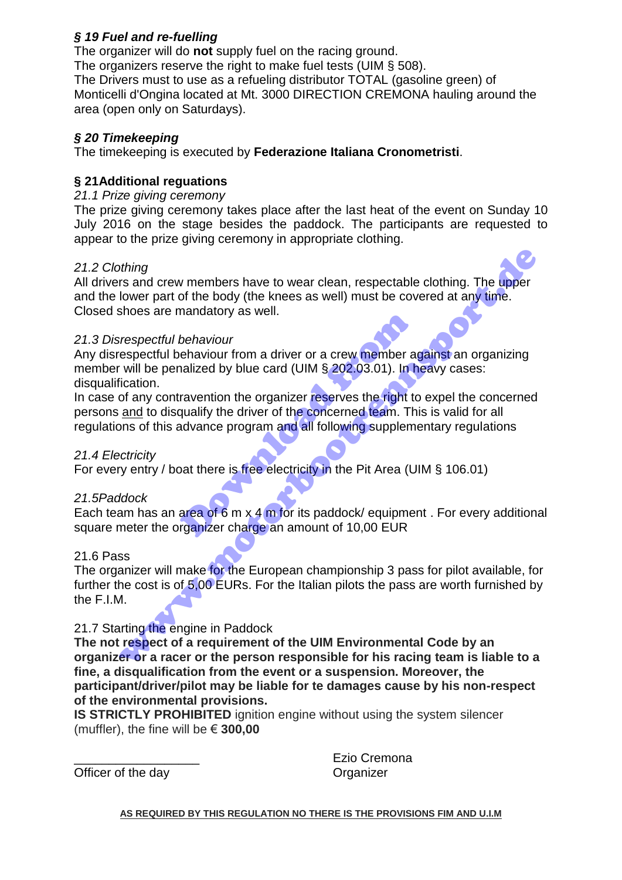# *§ 19 Fuel and re-fuelling*

The organizer will do **not** supply fuel on the racing ground.

The organizers reserve the right to make fuel tests (UIM § 508).

The Drivers must to use as a refueling distributor TOTAL (gasoline green) of Monticelli d'Ongina located at Mt. 3000 DIRECTION CREMONA hauling around the area (open only on Saturdays).

# *§ 20 Timekeeping*

The timekeeping is executed by **Federazione Italiana Cronometristi**.

# **§ 21Additional reguations**

# *21.1 Prize giving ceremony*

The prize giving ceremony takes place after the last heat of the event on Sunday 10 July 2016 on the stage besides the paddock. The participants are requested to appear to the prize giving ceremony in appropriate clothing.

# *21.2 Clothing*

All drivers and crew members have to wear clean, respectable clothing. The upper and the lower part of the body (the knees as well) must be covered at any time. Closed shoes are mandatory as well.

# *21.3 Disrespectful behaviour*

Any disrespectful behaviour from a driver or a crew member against an organizing member will be penalized by blue card (UIM § 202.03.01). In heavy cases: disqualification. behaviour<br>
behaviour<br>
enaviour from a driver or a crew member and<br>
ized by blue card (UIM § 202.03.01). In h<br>
ravention the organizer reserves the right to<br>
qualify the driver of the concerned team. The<br>
advance program an

In case of any contravention the organizer reserves the right to expel the concerned persons and to disqualify the driver of the concerned team. This is valid for all regulations of this advance program and all following supplementary regulations of thing<br>thing<br>the stand crew members have to wear clean, respectable clothing. The upper<br>lower part of the body (the knees as well) must be covered at any time.<br>Shoes are mandatory as well.<br>the shoes are mandatory as well

# *21.4 Electricity*

For every entry / boat there is free electricity in the Pit Area (UIM § 106.01)

# *21.5Paddock*

Each team has an area of 6 m x 4 m for its paddock/ equipment. For every additional square meter the organizer charge an amount of 10,00 EUR

# 21.6 Pass

The organizer will make for the European championship 3 pass for pilot available, for further the cost is of 5,00 EURs. For the Italian pilots the pass are worth furnished by the F.I.M.

# 21.7 Starting the engine in Paddock

**The not respect of a requirement of the UIM Environmental Code by an organizer or a racer or the person responsible for his racing team is liable to a fine, a disqualification from the event or a suspension. Moreover, the participant/driver/pilot may be liable for te damages cause by his non-respect of the environmental provisions.** 

**IS STRICTLY PROHIBITED** ignition engine without using the system silencer (muffler), the fine will be € **300,00**

Officer of the day **Organizer** Craanizer

Ezio Cremona

**AS REQUIRED BY THIS REGULATION NO THERE IS THE PROVISIONS FIM AND U.I.M**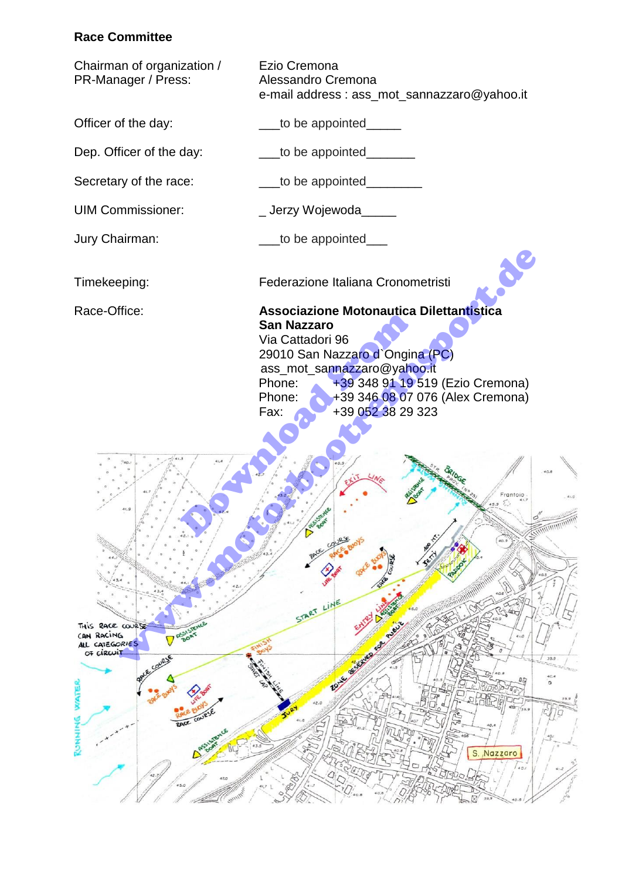# **Race Committee**

| Chairman of organization /<br>PR-Manager / Press:                                                                                               | Ezio Cremona<br>Alessandro Cremona<br>e-mail address: ass_mot_sannazzaro@yahoo.it                                                                                                                                                                                                                                                                                                                                                                                                                                      |
|-------------------------------------------------------------------------------------------------------------------------------------------------|------------------------------------------------------------------------------------------------------------------------------------------------------------------------------------------------------------------------------------------------------------------------------------------------------------------------------------------------------------------------------------------------------------------------------------------------------------------------------------------------------------------------|
| Officer of the day:                                                                                                                             | to be appointed____                                                                                                                                                                                                                                                                                                                                                                                                                                                                                                    |
| Dep. Officer of the day:                                                                                                                        | to be appointed_______                                                                                                                                                                                                                                                                                                                                                                                                                                                                                                 |
| Secretary of the race:                                                                                                                          | __to be appointed_______                                                                                                                                                                                                                                                                                                                                                                                                                                                                                               |
| <b>UIM Commissioner:</b>                                                                                                                        | _Jerzy Wojewoda_____                                                                                                                                                                                                                                                                                                                                                                                                                                                                                                   |
| Jury Chairman:                                                                                                                                  | to be appointed___                                                                                                                                                                                                                                                                                                                                                                                                                                                                                                     |
| Timekeeping:                                                                                                                                    | J<br>Federazione Italiana Cronometristi                                                                                                                                                                                                                                                                                                                                                                                                                                                                                |
| Race-Office:                                                                                                                                    | <b>Associazione Motonautica Dilettantistica</b><br><b>San Nazzaro</b><br>Via Cattadori 96<br>29010 San Nazzaro d'Ongina (PC)<br>ass_mot_sannazzaro@yahoo.it<br>+39 348 91 19 519 (Ezio Cremona)<br>Phone:<br>+39 346 08 07 076 (Alex Cremona)<br>Phone:<br>+39 052 38 29 323<br>Fax:                                                                                                                                                                                                                                   |
| THIS RACE COURSE<br><b>PASISTENCE</b><br>CAN RACING<br>ALL CATEGORIES<br>OF CIRCUIT<br>RAYE COURSE<br>WATE<br>RACE COURSE<br>Assistence<br>RUNN | Frantoio<br>$\frac{\lambda_{1}}{40.9}$<br>LOURSE<br>According to the Contract of the Contract of the Contract of the Contract of the Contract of the Contract of the Contract of the Contract of the Contract of the Contract of the Contract of the Contract of the Contract of t<br><b>SORGE COORS</b><br>START LINE<br>Box of the Children of Children<br>39.9<br>40.4<br>ПĢ<br>ø<br>₽<br>$\overline{\mathbb{R}}$<br>42.0<br>۱Œ<br>39.9<br>40.<br>S. Nazzaro<br>40.1<br>$Q_{\bigcirc}$<br>Room.<br>$\frac{7}{40.8}$ |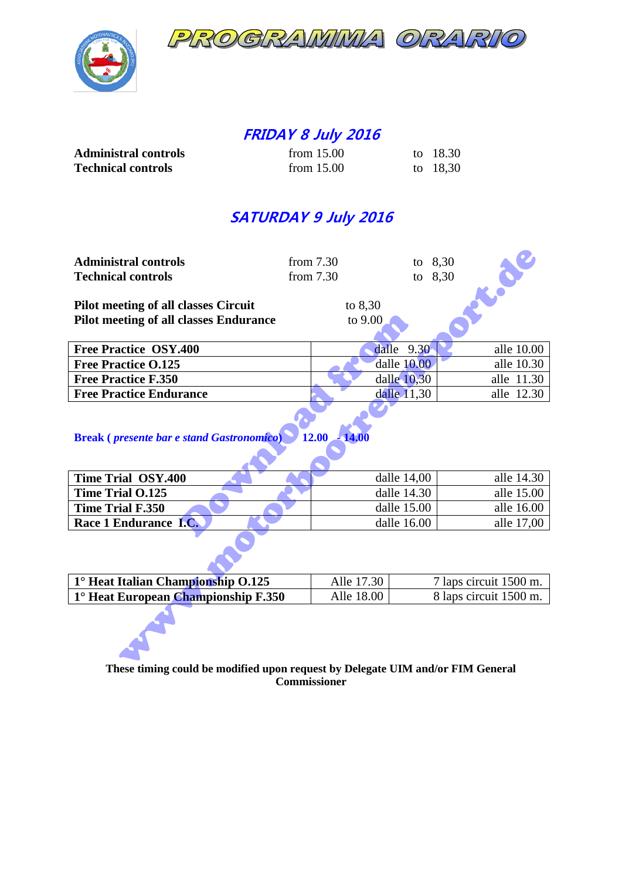



# **FRIDAY 8 July 2016**

| <b>Administral controls</b> | from $15.00$ | to 18.30 |
|-----------------------------|--------------|----------|
| <b>Technical controls</b>   | from $15.00$ | to 18,30 |

# **SATURDAY 9 July 2016**

| <b>Administral controls</b>                                          | from $7.30$    | to $8,30$                            | S                      |
|----------------------------------------------------------------------|----------------|--------------------------------------|------------------------|
| <b>Technical controls</b>                                            | from 7.30      | to 8,30                              |                        |
|                                                                      |                |                                      |                        |
| <b>Pilot meeting of all classes Circuit</b>                          | to $8,30$      |                                      |                        |
| <b>Pilot meeting of all classes Endurance</b>                        | to 9.00        |                                      |                        |
|                                                                      |                |                                      |                        |
| Free Practice OSY.400                                                |                | 9.30<br>dalle                        | alle 10.00             |
| <b>Free Practice O.125</b>                                           |                | dalle 10.00                          | alle 10.30             |
| <b>Free Practice F.350</b>                                           |                | dalle 10,30                          | alle 11.30             |
| <b>Free Practice Endurance</b>                                       |                | dalle 11,30                          | alle 12.30             |
|                                                                      |                |                                      |                        |
|                                                                      |                |                                      |                        |
| <b>Break</b> ( <i>presente bar e stand Gastronomico</i> )            | $12.00 - 14.0$ |                                      |                        |
|                                                                      |                |                                      |                        |
|                                                                      |                |                                      |                        |
| Time Trial OSY.400                                                   |                | dalle 14,00                          | alle 14.30             |
| <b>Time Trial O.125</b>                                              |                | dalle 14.30                          | alle 15.00             |
| Time Trial F.350                                                     |                | dalle 15.00                          | alle 16.00             |
| Race 1 Endurance I.C.                                                |                | dalle 16.00                          | alle 17,00             |
|                                                                      |                |                                      |                        |
| 1° Heat Italian Championship O.125                                   | Alle 17.30     |                                      | 7 laps circuit 1500 m. |
| 1° Heat European Championship F.350                                  |                | Alle 18.00<br>8 laps circuit 1500 m. |                        |
| re could be medified unon request by Delegate HIM and/or FIM Canoral |                |                                      |                        |

| $U$ dile $2.50$ | alie Tu.uu |
|-----------------|------------|
| dalle 10.00     | alle 10.30 |
| dalle $10,30$   | alle 11.30 |
| dalle 11.30     | alle 12.30 |
|                 |            |

# **Break (** *presente bar e stand Gastronomico***) 12.00 - 14.00**

| <b>Pilot meeting of all classes Endurance</b>                                  | to 9.00       |            |  |  |  |  |
|--------------------------------------------------------------------------------|---------------|------------|--|--|--|--|
|                                                                                |               |            |  |  |  |  |
| <b>Free Practice OSY.400</b>                                                   | 9.30<br>dalle | alle 10.00 |  |  |  |  |
| <b>Free Practice O.125</b>                                                     | dalle 10.00   | alle 10.30 |  |  |  |  |
| <b>Free Practice F.350</b>                                                     | dalle $10,30$ | alle 11.30 |  |  |  |  |
| <b>Free Practice Endurance</b>                                                 | dalle 11,30   | alle 12.30 |  |  |  |  |
|                                                                                |               |            |  |  |  |  |
| 12.00<br><b>Break</b> ( <i>presente bar e stand Gastronomico</i> )<br>$-14.00$ |               |            |  |  |  |  |
|                                                                                |               |            |  |  |  |  |
| <b>Time Trial OSY.400</b>                                                      | dalle $14,00$ | alle 14.30 |  |  |  |  |
| <b>Time Trial O.125</b>                                                        | dalle 14.30   | alle 15.00 |  |  |  |  |
| Time Trial F.350                                                               | dalle $15.00$ | alle 16.00 |  |  |  |  |
| Race 1 Endurance I.C.                                                          | dalle $16.00$ | alle 17,00 |  |  |  |  |
|                                                                                |               |            |  |  |  |  |

| $1^\circ$ Heat Italian Championship $0.125$ | Alle 17.30 | 7 laps circuit 1500 m. |
|---------------------------------------------|------------|------------------------|
| $1^\circ$ Heat European Championship F.350  | Alle 18.00 | 8 laps circuit 1500 m. |

**These timing could be modified upon request by Delegate UIM and/or FIM General Commissioner**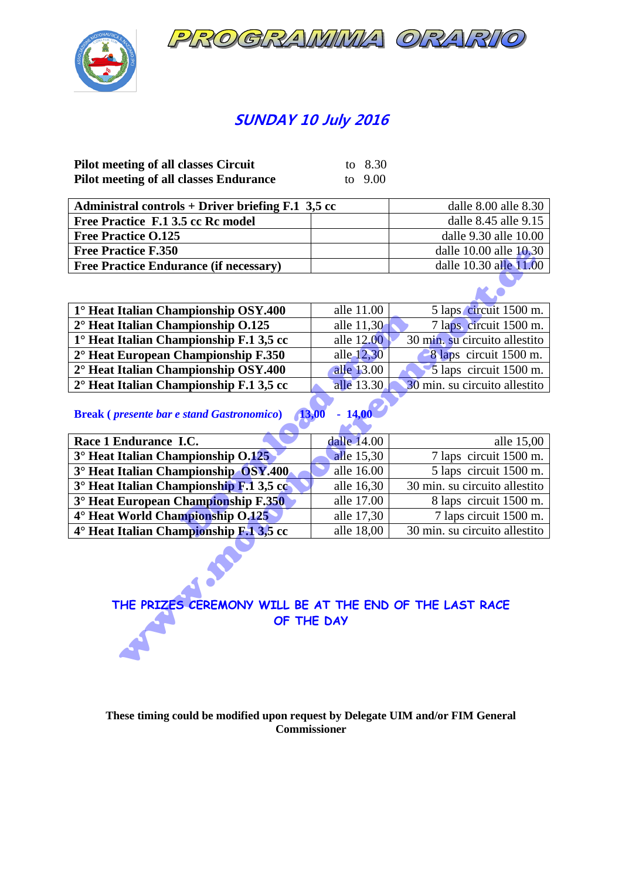



# **SUNDAY 10 July 2016**

| <b>Pilot meeting of all classes Circuit</b>   | to 8.30   |
|-----------------------------------------------|-----------|
| <b>Pilot meeting of all classes Endurance</b> | to $9.00$ |

| Administral controls + Driver briefing $F.1$ 3,5 cc | dalle 8.00 alle 8.30   |
|-----------------------------------------------------|------------------------|
| Free Practice F.1 3.5 cc Rc model                   | dalle 8.45 alle 9.15   |
| <b>Free Practice O.125</b>                          | dalle 9.30 alle 10.00  |
| <b>Free Practice F.350</b>                          | dalle 10.00 alle 10.30 |
| <b>Free Practice Endurance (if necessary)</b>       | dalle 10.30 alle 11.00 |

| 1° Heat Italian Championship OSY.400             | alle 11.00 | 5 laps circuit 1500 m.        |
|--------------------------------------------------|------------|-------------------------------|
| 2° Heat Italian Championship 0.125               | alle 11,30 | 7 laps circuit 1500 m.        |
| $1^\circ$ Heat Italian Championship F.1 3,5 cc   | alle 12.00 | 30 min. su circuito allestito |
| $2^{\circ}$ Heat European Championship F.350     | alle 12,30 | 8 laps circuit 1500 m.        |
| 2° Heat Italian Championship OSY.400             | alle 13.00 | $\sim$ 5 laps circuit 1500 m. |
| $2^{\circ}$ Heat Italian Championship F.1 3,5 cc | alle 13.30 | 30 min. su circuito allestito |

| <b>Free Practice F.350</b>                                                     |                                      | dalle 10.00 alle 10.30        |  |  |  |
|--------------------------------------------------------------------------------|--------------------------------------|-------------------------------|--|--|--|
| <b>Free Practice Endurance (if necessary)</b>                                  |                                      | dalle 10.30 alle 11.00        |  |  |  |
|                                                                                |                                      |                               |  |  |  |
| 1° Heat Italian Championship OSY.400                                           | alle 11.00                           | 5 laps circuit 1500 m.        |  |  |  |
| 2° Heat Italian Championship O.125                                             | alle 11,30                           | 7 laps circuit 1500 m.        |  |  |  |
| 1° Heat Italian Championship F.1 3,5 cc                                        | alle 12.00                           | 30 min. su circuito allestito |  |  |  |
| 2° Heat European Championship F.350                                            | alle $12,30$                         | 8 laps circuit 1500 m.        |  |  |  |
| 2° Heat Italian Championship OSY.400                                           | alle 13.00                           | 5 laps circuit 1500 m.        |  |  |  |
| 2° Heat Italian Championship F.1 3,5 cc                                        | alle 13.30                           | 30 min. su circuito allestito |  |  |  |
| $-14,00$<br>13,00<br><b>Break</b> ( <i>presente bar e stand Gastronomico</i> ) |                                      |                               |  |  |  |
| Race 1 Endurance I.C.                                                          | dalle 14.00                          | alle 15,00                    |  |  |  |
| 3° Heat Italian Championship 0.125                                             | alle 15,30                           | 7 laps circuit 1500 m.        |  |  |  |
| 3° Heat Italian Championship OSY.400                                           | alle 16.00<br>5 laps circuit 1500 m. |                               |  |  |  |
| 3° Heat Italian Championship F.1 3,5 cc                                        | alle 16,30                           | 30 min. su circuito allestito |  |  |  |
| 3° Heat European Championship F.350                                            | alle 17.00                           | 8 laps circuit 1500 m.        |  |  |  |
| 4° Heat World Championship 0.125                                               | alle 17,30                           | 7 laps circuit 1500 m.        |  |  |  |
| 4° Heat Italian Championship F.1 3,5 cc                                        | alle 18,00                           | 30 min. su circuito allestito |  |  |  |
| THE PRIZES CEREMONY WILL BE AT THE END OF THE LAST RACE<br>OF THE DAY          |                                      |                               |  |  |  |

# **THE PRIZES CEREMONY WILL BE AT THE END OF THE LAST RACE OF THE DAY**

### **These timing could be modified upon request by Delegate UIM and/or FIM General Commissioner**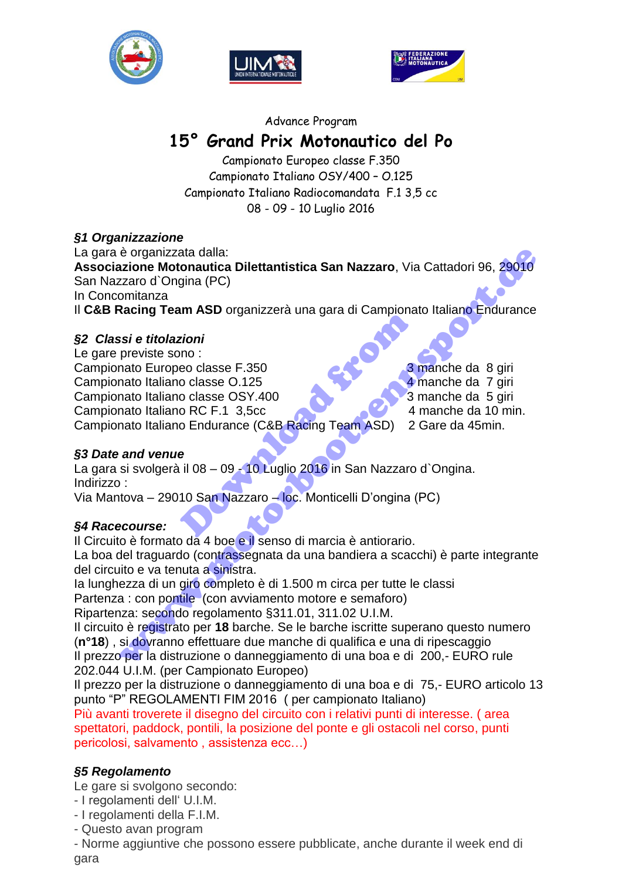





### Advance Program

# **15° Grand Prix Motonautico del Po**

Campionato Europeo classe F.350 Campionato Italiano OSY/400 – O.125 Campionato Italiano Radiocomandata F.1 3,5 cc 08 - 09 - 10 Luglio 2016

# *§1 Organizzazione*

La gara è organizzata dalla: **Associazione Motonautica Dilettantistica San Nazzaro**, Via Cattadori 96, 29010 San Nazzaro d`Ongina (PC) In Concomitanza Il **C&B Racing Team ASD** organizzerà una gara di Campionato Italiano Endurance

# *§2 Classi e titolazioni*

Le gare previste sono : Campionato Europeo classe F.350 3 manche da 8 giri Campionato Italiano classe O.125 4 manche da 7 giri Campionato Italiano classe OSY.400 3 manche da 5 giri Campionato Italiano RC F.1 3,5cc 4 manche da 10 min. Campionato Italiano Endurance (C&B Racing Team ASD) 2 Gare da 45min. Exioni<br>
Inno :<br>
eo classe F.350<br>
o classe O.125<br>
o classe OSY.400<br>
o RC F.1 3,5cc<br>
o Endurance (C&B Racing Team ASD) 2<br>
e<br>
il 08 – 09 - 10 Luglio 2016 in San Nazzaro<br>
10 San Nazzaro – loc. Monticelli D'ongina ( é organizzata dalla:<br>
azion d'Onquia (PC)<br>
azion d'Onquia (PC)<br>
comitanza<br>
acting Team ASD organizzerà una gara di Campionato Italiano Endurance<br>
spreviste sono :<br>
previste sono :<br>
a manche da 8 giri<br>
previste sono :<br>
a ma

*§3 Date and venue* 

La gara si svolgerà il 08 – 09 - 10 Luglio 2016 in San Nazzaro d'Ongina. Indirizzo :

Via Mantova – 29010 San Nazzaro – loc. Monticelli D'ongina (PC)

# *§4 Racecourse:*

Il Circuito è formato da 4 boe e il senso di marcia è antiorario. La boa del traguardo (contrassegnata da una bandiera a scacchi) è parte integrante del circuito e va tenuta a sinistra.

Ia lunghezza di un giro completo è di 1.500 m circa per tutte le classi

Partenza : con pontile (con avviamento motore e semaforo)

Ripartenza: secondo regolamento §311.01, 311.02 U.I.M.

Il circuito è registrato per **18** barche. Se le barche iscritte superano questo numero (**n°18**) , si dovranno effettuare due manche di qualifica e una di ripescaggio Il prezzo per la distruzione o danneggiamento di una boa e di 200,- EURO rule 202.044 U.I.M. (per Campionato Europeo)

Il prezzo per la distruzione o danneggiamento di una boa e di 75,- EURO articolo 13 punto "P" REGOLAMENTI FIM 2016 ( per campionato Italiano)

Più avanti troverete il disegno del circuito con i relativi punti di interesse. ( area spettatori, paddock, pontili, la posizione del ponte e gli ostacoli nel corso, punti pericolosi, salvamento , assistenza ecc…)

# *§5 Regolamento*

Le gare si svolgono secondo:

- I regolamenti dell' U.I.M.
- I regolamenti della F.I.M.
- Questo avan program

- Norme aggiuntive che possono essere pubblicate, anche durante il week end di gara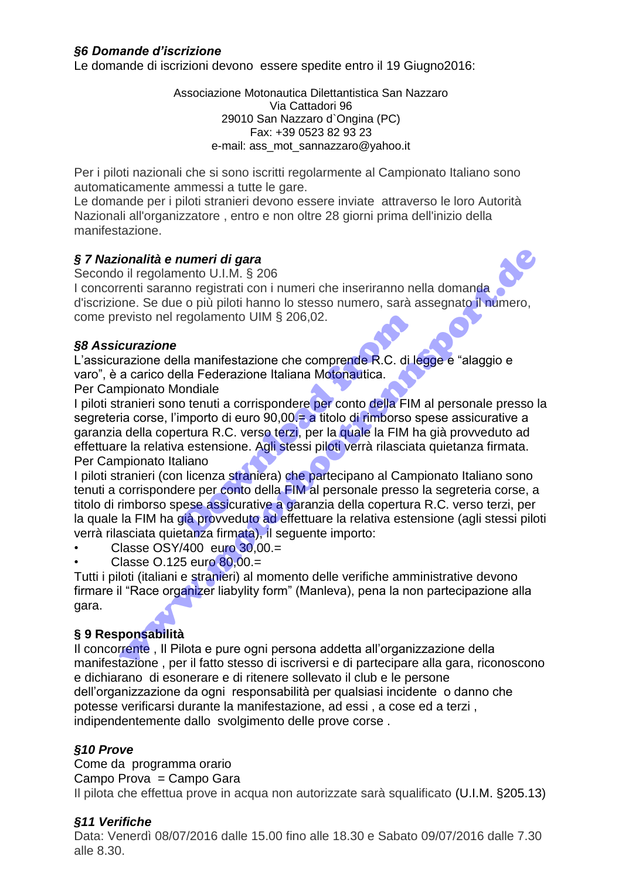Le domande di iscrizioni devono essere spedite entro il 19 Giugno2016:

Associazione Motonautica Dilettantistica San Nazzaro Via Cattadori 96 29010 San Nazzaro d`Ongina (PC) Fax: +39 0523 82 93 23 e-mail: ass\_mot\_sannazzaro@yahoo.it

Per i piloti nazionali che si sono iscritti regolarmente al Campionato Italiano sono automaticamente ammessi a tutte le gare.

Le domande per i piloti stranieri devono essere inviate attraverso le loro Autorità Nazionali all'organizzatore , entro e non oltre 28 giorni prima dell'inizio della manifestazione.

# *§ 7 Nazionalità e numeri di gara*

Secondo il regolamento U.I.M. § 206

I concorrenti saranno registrati con i numeri che inseriranno nella domanda d'iscrizione. Se due o più piloti hanno lo stesso numero, sarà assegnato il numero, come previsto nel regolamento UIM § 206,02.

# *§8 Assicurazione*

L'assicurazione della manifestazione che comprende R.C. di legge e "alaggio e varo", è a carico della Federazione Italiana Motonautica.

Per Campionato Mondiale

I piloti stranieri sono tenuti a corrispondere per conto della FIM al personale presso la segreteria corse, l'importo di euro 90,00. ha titolo di rimborso spese assicurative a garanzia della copertura R.C. verso terzi, per la quale la FIM ha già provveduto ad effettuare la relativa estensione. Agli stessi piloti verrà rilasciata quietanza firmata. Per Campionato Italiano regolamento UIM § 206,02.<br>Ila manifestazione che comprende R.C. di le<br>Ila Federazione Italiana Motonautica.<br>ondiale<br>o tenuti a corrispondere per conto della FIM<br>mporto di euro 90,00.= a titolo di rimborso s<br>ertura R.C. ver **ionalità e numeri di gara**<br>
oi ll'egoloamento U.I.M. § 206<br>
oi l'egoloamento U.II.M. § 206<br>
one. Se due o più piloti hanno lo stesso numero, sarà assegnato il numero,<br>
revisto nel regolamento UIM § 206,02.<br> **icurazione**<br>

I piloti stranieri (con licenza straniera) che partecipano al Campionato Italiano sono tenuti a corrispondere per conto della FIM al personale presso la segreteria corse, a titolo di rimborso spese assicurative a garanzia della copertura R.C. verso terzi, per la quale la FIM ha già provveduto ad effettuare la relativa estensione (agli stessi piloti verrà rilasciata quietanza firmata), il seguente importo:

- Classe OSY/400 euro 30,00.=
- Classe O.125 euro 80,00.=

Tutti i piloti (italiani e stranieri) al momento delle verifiche amministrative devono firmare il "Race organizer liabylity form" (Manleva), pena la non partecipazione alla gara.

# **§ 9 Responsabilità**

Il concorrente , Il Pilota e pure ogni persona addetta all'organizzazione della manifestazione , per il fatto stesso di iscriversi e di partecipare alla gara, riconoscono e dichiarano di esonerare e di ritenere sollevato il club e le persone dell'organizzazione da ogni responsabilità per qualsiasi incidente o danno che potesse verificarsi durante la manifestazione, ad essi , a cose ed a terzi , indipendentemente dallo svolgimento delle prove corse .

# *§10 Prove*

Come da programma orario Campo Prova = Campo Gara Il pilota che effettua prove in acqua non autorizzate sarà squalificato (U.I.M. §205.13)

# *§11 Verifiche*

Data: Venerdì 08/07/2016 dalle 15.00 fino alle 18.30 e Sabato 09/07/2016 dalle 7.30 alle 8.30.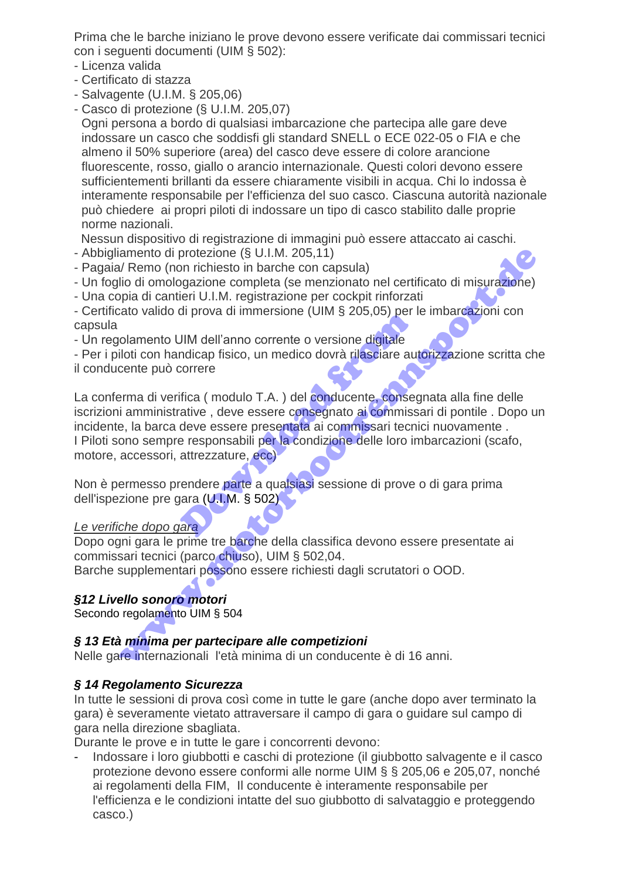Prima che le barche iniziano le prove devono essere verificate dai commissari tecnici con i seguenti documenti (UIM § 502):

- Licenza valida
- Certificato di stazza
- Salvagente (U.I.M. § 205,06)
- Casco di protezione (§ U.I.M. 205,07)

Ogni persona a bordo di qualsiasi imbarcazione che partecipa alle gare deve indossare un casco che soddisfi gli standard SNELL o ECE 022-05 o FIA e che almeno il 50% superiore (area) del casco deve essere di colore arancione fluorescente, rosso, giallo o arancio internazionale. Questi colori devono essere sufficientementi brillanti da essere chiaramente visibili in acqua. Chi lo indossa è interamente responsabile per l'efficienza del suo casco. Ciascuna autorità nazionale può chiedere ai propri piloti di indossare un tipo di casco stabilito dalle proprie norme nazionali.

- Nessun dispositivo di registrazione di immagini può essere attaccato ai caschi.
- Abbigliamento di protezione (§ U.I.M. 205,11)
- Pagaia/ Remo (non richiesto in barche con capsula)
- Un foglio di omologazione completa (se menzionato nel certificato di misurazione)
- Una copia di cantieri U.I.M. registrazione per cockpit rinforzati

- Certificato valido di prova di immersione (UIM § 205,05) per le imbarcazioni con capsula

- Un regolamento UIM dell'anno corrente o versione digitale

- Per i piloti con handicap fisico, un medico dovrà rilasciare autorizzazione scritta che il conducente può correre

La conferma di verifica ( modulo T.A.) del conducente, consegnata alla fine delle iscrizioni amministrative, deve essere consegnato ai commissari di pontile. Dopo un incidente, la barca deve essere presentata ai commissari tecnici nuovamente . I Piloti sono sempre responsabili per la condizione delle loro imbarcazioni (scafo, motore, accessori, attrezzature, ecc) JIM dell'anno corrente o versione digitale<br>
DIM dell'anno corrente o versione digitale<br>
correre<br>
dica (modulo T.A.) del conducente, conseguente<br>
difica (modulo T.A.) del conducente, conseguente<br>
dive essere presentata ai c iamento di protezione (§ U.I.M. 205,11)<br>V/Remo (non richiesto in barche con capsula)<br>illo di omologazione completa (se menzionato nel certificato di misurazione)<br>pia di cantieri U.I.M. registrazione per cockpit rinforzati<br>

Non è permesso prendere parte a qualsiasi sessione di prove o di gara prima dell'ispezione pre gara (U.I.M. § 502)

*Le verifiche dopo gara*

Dopo ogni gara le prime tre barche della classifica devono essere presentate ai commissari tecnici (parco chiuso), UIM § 502,04. Barche supplementari possono essere richiesti dagli scrutatori o OOD.

# *§12 Livello sonoro motori*

Secondo regolamento UIM § 504

# *§ 13 Età minima per partecipare alle competizioni*

Nelle gare internazionali l'età minima di un conducente è di 16 anni.

# *§ 14 Regolamento Sicurezza*

In tutte le sessioni di prova così come in tutte le gare (anche dopo aver terminato la gara) è severamente vietato attraversare il campo di gara o guidare sul campo di gara nella direzione sbagliata.

Durante le prove e in tutte le gare i concorrenti devono:

- Indossare i loro giubbotti e caschi di protezione (il giubbotto salvagente e il casco protezione devono essere conformi alle norme UIM § § 205,06 e 205,07, nonché ai regolamenti della FIM, Il conducente è interamente responsabile per l'efficienza e le condizioni intatte del suo giubbotto di salvataggio e proteggendo casco.)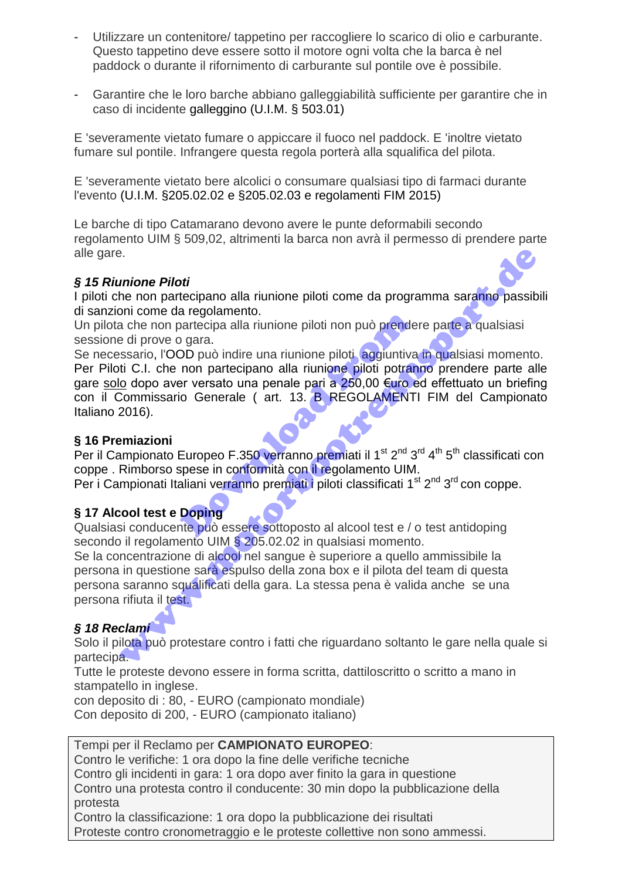- Utilizzare un contenitore/ tappetino per raccogliere lo scarico di olio e carburante. Questo tappetino deve essere sotto il motore ogni volta che la barca è nel paddock o durante il rifornimento di carburante sul pontile ove è possibile.
- Garantire che le loro barche abbiano galleggiabilità sufficiente per garantire che in caso di incidente galleggino (U.I.M. § 503.01)

E 'severamente vietato fumare o appiccare il fuoco nel paddock. E 'inoltre vietato fumare sul pontile. Infrangere questa regola porterà alla squalifica del pilota.

E 'severamente vietato bere alcolici o consumare qualsiasi tipo di farmaci durante l'evento (U.I.M. §205.02.02 e §205.02.03 e regolamenti FIM 2015)

Le barche di tipo Catamarano devono avere le punte deformabili secondo regolamento UIM § 509,02, altrimenti la barca non avrà il permesso di prendere parte alle gare.

# *§ 15 Riunione Piloti*

I piloti che non partecipano alla riunione piloti come da programma saranno passibili di sanzioni come da regolamento.

Un pilota che non partecipa alla riunione piloti non può prendere parte a qualsiasi sessione di prove o gara.

Se necessario, l'OOD può indire una riunione piloti, aggiuntiva in qualsiasi momento. Per Piloti C.I. che non partecipano alla riunione piloti potranno prendere parte alle gare solo dopo aver versato una penale pari a 250,00 €uro ed effettuato un briefing con il Commissario Generale ( art. 13. B REGOLAMENTI FIM del Campionato Italiano 2016). o artecipa alla riunione piloti non può prende<br>
DD può indire una riunione piloti aggiuntiva<br>
non partecipano alla riunione piloti potran<br>
er versato una penale pari a 250,00 €uro e<br>
io Generale (art. 13. B REGOLAMENTI<br>
E e non partecipano alla riunione piloti come da programma saranno passibe di prove o gara.<br>
non come da regolamento.<br>
a che non partecipano alla riunione piloti non può prendere parte da qualsiasi<br>
esti prove o gara.<br>
esti

# **§ 16 Premiazioni**

Per il Campionato Europeo F.350 verranno premiati il 1<sup>st 2nd</sup> 3<sup>rd 4th</sup> 5<sup>th</sup> classificati con coppe . Rimborso spese in conformità con il regolamento UIM. Per i Campionati Italiani verranno premiati i piloti classificati 1<sup>st</sup> 2<sup>nd</sup> 3<sup>rd</sup> con coppe.

# **§ 17 Alcool test e Doping**

Qualsiasi conducente può essere sottoposto al alcool test e / o test antidoping secondo il regolamento UIM § 205.02.02 in qualsiasi momento.

Se la concentrazione di alcool nel sangue è superiore a quello ammissibile la persona in questione sarà espulso della zona box e il pilota del team di questa persona saranno squalificati della gara. La stessa pena è valida anche se una persona rifiuta il test.

# *§ 18 Reclami*

Solo il pilota può protestare contro i fatti che riguardano soltanto le gare nella quale si partecipa.

Tutte le proteste devono essere in forma scritta, dattiloscritto o scritto a mano in stampatello in inglese.

con deposito di : 80, - EURO (campionato mondiale) Con deposito di 200, - EURO (campionato italiano)

Tempi per il Reclamo per **CAMPIONATO EUROPEO**: Contro le verifiche: 1 ora dopo la fine delle verifiche tecniche Contro gli incidenti in gara: 1 ora dopo aver finito la gara in questione Contro una protesta contro il conducente: 30 min dopo la pubblicazione della protesta Contro la classificazione: 1 ora dopo la pubblicazione dei risultati

Proteste contro cronometraggio e le proteste collettive non sono ammessi.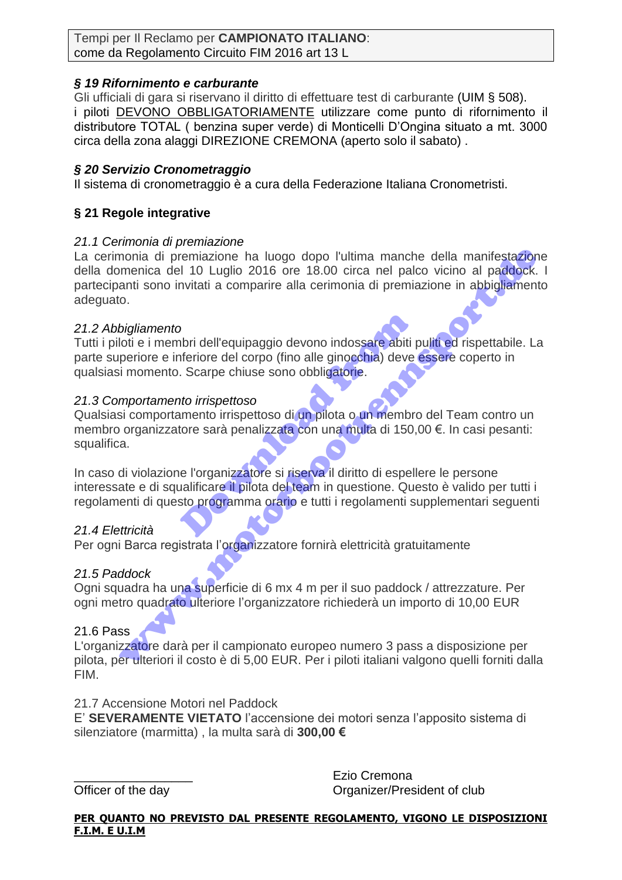Tempi per Il Reclamo per **CAMPIONATO ITALIANO**: come da Regolamento Circuito FIM 2016 art 13 L

# *§ 19 Rifornimento e carburante*

Gli ufficiali di gara si riservano il diritto di effettuare test di carburante (UIM § 508). i piloti DEVONO OBBLIGATORIAMENTE utilizzare come punto di rifornimento il distributore TOTAL ( benzina super verde) di Monticelli D'Ongina situato a mt. 3000 circa della zona alaggi DIREZIONE CREMONA (aperto solo il sabato) .

# *§ 20 Servizio Cronometraggio*

Il sistema di cronometraggio è a cura della Federazione Italiana Cronometristi.

# **§ 21 Regole integrative**

# *21.1 Cerimonia di premiazione*

La cerimonia di premiazione ha luogo dopo l'ultima manche della manifestazione della domenica del 10 Luglio 2016 ore 18.00 circa nel palco vicino al paddock. I partecipanti sono invitati a comparire alla cerimonia di premiazione in abbigliamento adeguato. monia di premiazione ha luogo dopo l'ultima manche della manifestazione<br>mencica del 10 Luglio 2016 ore 18.00 circa nel paloo vicino al padoock.<br>nanti sono invitati a comparire alla cerimonia di premiazione in abbigliamento

### *21.2 Abbigliamento*

Tutti i piloti e i membri dell'equipaggio devono indossare abiti puliti ed rispettabile. La parte superiore e inferiore del corpo (fino alle ginocchia) deve essere coperto in qualsiasi momento. Scarpe chiuse sono obbligatorie. Comptetive dell'equipaggio devono indossare abiti prieriore del corpo (fino alle ginocchia) deve<br>
Doministe del corpo (fino alle ginocchia) deve<br>
Doministe sono obbligatorie.<br>
Doministe sono obbligatorie.<br>
Doministe del pr

# *21.3 Comportamento irrispettoso*

Qualsiasi comportamento irrispettoso di un pilota o un membro del Team contro un membro organizzatore sarà penalizzata con una multa di 150,00 €. In casi pesanti: squalifica.

In caso di violazione l'organizzatore si riserva il diritto di espellere le persone interessate e di squalificare il pilota del team in questione. Questo è valido per tutti i regolamenti di questo programma orario e tutti i regolamenti supplementari seguenti

# *21.4 Elettricità*

Per ogni Barca registrata l'organizzatore fornirà elettricità gratuitamente

# *21.5 Paddock*

Ogni squadra ha una superficie di 6 mx 4 m per il suo paddock / attrezzature. Per ogni metro quadrato ulteriore l'organizzatore richiederà un importo di 10,00 EUR

### 21.6 Pass

L'organizzatore darà per il campionato europeo numero 3 pass a disposizione per pilota, per ulteriori il costo è di 5,00 EUR. Per i piloti italiani valgono quelli forniti dalla FIM.

### 21.7 Accensione Motori nel Paddock

E' **SEVERAMENTE VIETATO** l'accensione dei motori senza l'apposito sistema di silenziatore (marmitta) , la multa sarà di **300,00 €**

\_\_\_\_\_\_\_\_\_\_\_\_\_\_\_\_\_ Ezio Cremona Officer of the day **Organizer/President of club** 

### **PER QUANTO NO PREVISTO DAL PRESENTE REGOLAMENTO, VIGONO LE DISPOSIZIONI F.I.M. E U.I.M**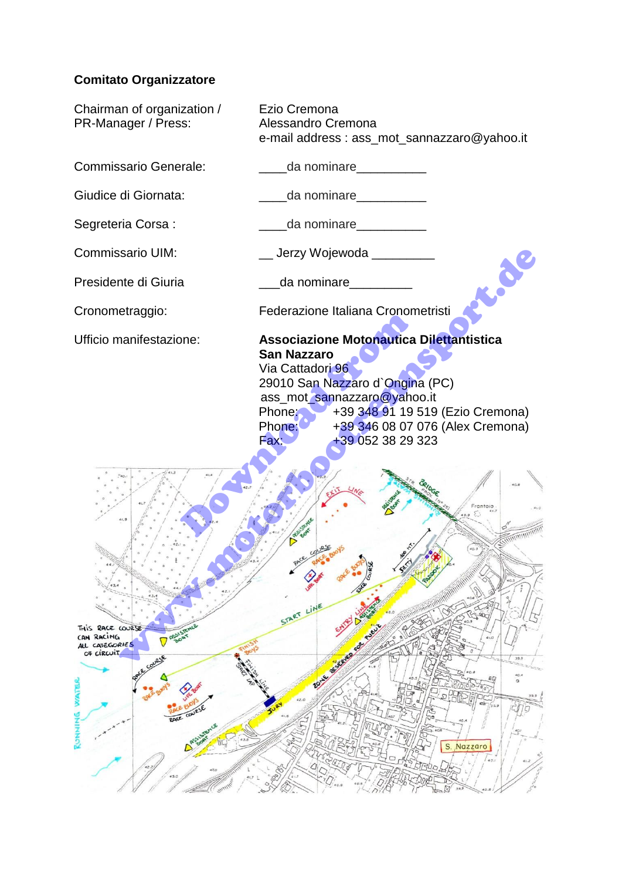# **Comitato Organizzatore**

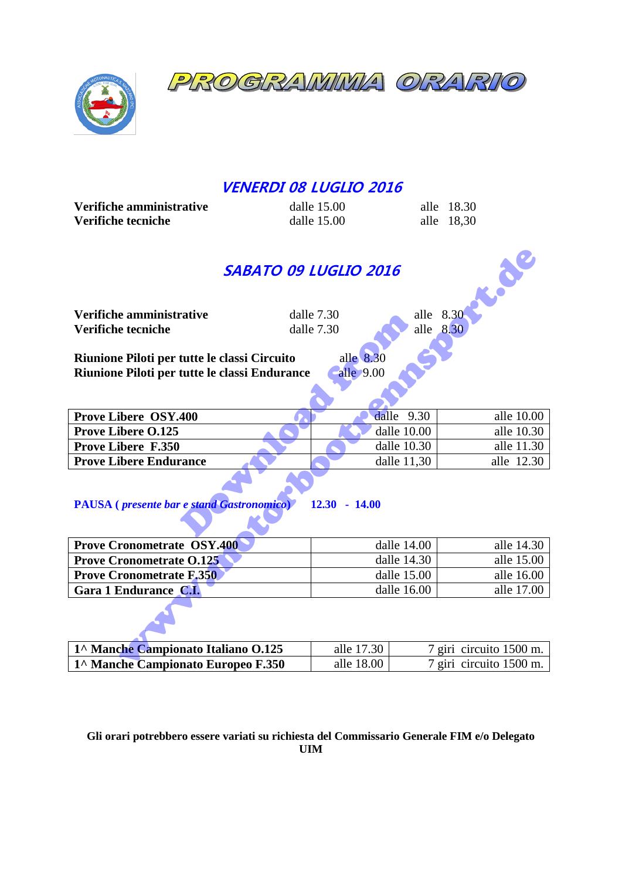PROGRAMMIA ORA  $\mathcal O$ 



# **VENERDI 08 LUGLIO 2016**

| Verifiche amministrative | dalle $15.00$ | alle 18.30 |
|--------------------------|---------------|------------|
| Verifiche tecniche       | dalle $15.00$ | alle 18.30 |

# **SABATO 09 LUGLIO 2016**<br>
dalle 7.30<br>
dalle 7.30<br>
classi  $C^2$

| LOCK<br>SABATO 09 LUGLIO 2016                                                |             |             |                         |  |  |
|------------------------------------------------------------------------------|-------------|-------------|-------------------------|--|--|
| Verifiche amministrative                                                     | dalle 7.30  | alle 8.30   |                         |  |  |
| Verifiche tecniche                                                           | dalle 7.30  | alle 8.30   |                         |  |  |
|                                                                              |             |             |                         |  |  |
| Riunione Piloti per tutte le classi Circuito                                 | alle 8.30   |             |                         |  |  |
| Riunione Piloti per tutte le classi Endurance                                | alle 9.00   |             |                         |  |  |
|                                                                              |             |             |                         |  |  |
|                                                                              |             |             |                         |  |  |
| <b>Prove Libere OSY.400</b>                                                  | dalle       | 9.30        | alle 10.00              |  |  |
| <b>Prove Libere O.125</b>                                                    |             | dalle 10.00 | alle 10.30              |  |  |
| <b>Prove Libere F.350</b>                                                    |             | dalle 10.30 | alle 11.30              |  |  |
| <b>Prove Libere Endurance</b>                                                |             | dalle 11,30 | alle 12.30              |  |  |
| <b>PAUSA</b> ( <i>presente bar e stand Gastronomico</i> )<br>$12.30 - 14.00$ |             |             |                         |  |  |
| <b>Prove Cronometrate OSY.400</b>                                            |             | dalle 14.00 | alle 14.30              |  |  |
| <b>Prove Cronometrate 0.125</b>                                              | dalle 14.30 |             | alle 15.00              |  |  |
| <b>Prove Cronometrate F.350</b>                                              | dalle 15.00 |             | alle 16.00              |  |  |
| Gara 1 Endurance C.I.                                                        | dalle 16.00 |             | alle 17.00              |  |  |
|                                                                              |             |             |                         |  |  |
| 1^ Manche Campionato Italiano O.125                                          | alle 17.30  |             | 7 giri circuito 1500 m. |  |  |
| 1^ Manche Campionato Europeo F.350                                           | alle 18.00  |             | 7 giri circuito 1500 m. |  |  |

# **PAUSA (** *presente bar e stand Gastronomico***) 12.30 - 14.00**

| <b>Prove Cronometrate OSY.400</b> | dalle $14.00$ | alle 14.30 |
|-----------------------------------|---------------|------------|
| <b>Prove Cronometrate 0.125</b>   | dalle $14.30$ | alle 15.00 |
| <b>Prove Cronometrate F.350</b>   | dalle $15.00$ | alle 16.00 |
| Gara 1 Endurance C.I.             | dalle $16.00$ | alle 17.00 |

| 1^ Manche Campionato Italiano O.125 | alle 17.30 | 7 giri circuito 1500 m. |
|-------------------------------------|------------|-------------------------|
| 1^ Manche Campionato Europeo F.350  | alle 18.00 | 7 giri circuito 1500 m. |

### **Gli orari potrebbero essere variati su richiesta del Commissario Generale FIM e/o Delegato UIM**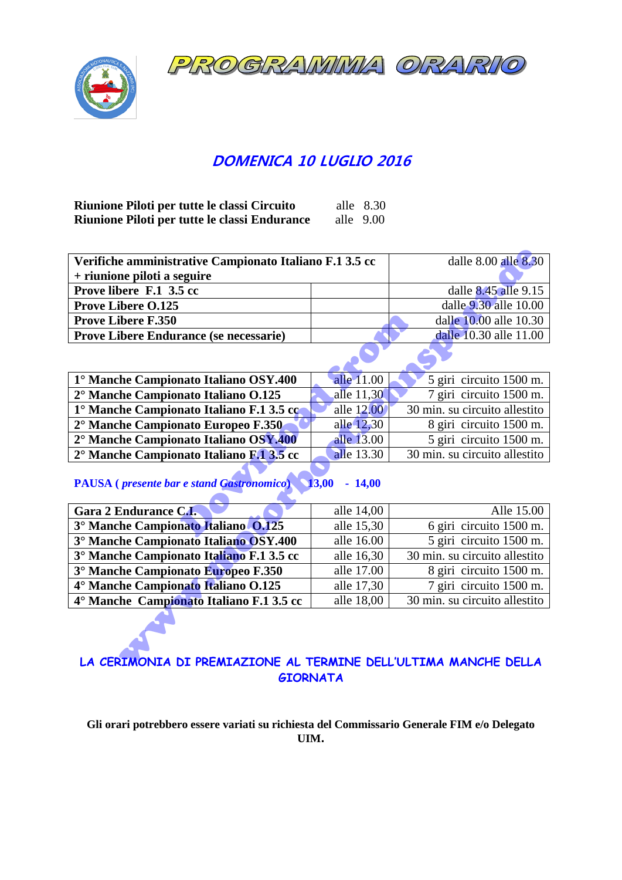ROGRAMMMA ORA  $\sigma$ 



# **DOMENICA 10 LUGLIO 2016**

| Riunione Piloti per tutte le classi Circuito  |             | alle $8.30$ |
|-----------------------------------------------|-------------|-------------|
| Riunione Piloti per tutte le classi Endurance | alle $9.00$ |             |

| Verifiche amministrative Campionato Italiano F.1 3.5 cc |  | dalle $8.00$ alle $8.30$ |
|---------------------------------------------------------|--|--------------------------|
| + riunione piloti a seguire                             |  |                          |
| Prove libere F.1 3.5 cc                                 |  | dalle 8.45 alle 9.15     |
| <b>Prove Libere O.125</b>                               |  | dalle 9.30 alle 10.00    |
| <b>Prove Libere F.350</b>                               |  | dalle 10.00 alle 10.30   |
| <b>Prove Libere Endurance (se necessarie)</b>           |  | dalle 10.30 alle 11.00   |

| <b>Prove Libere F.350</b>                                                   |                    | dalle 10.00 alle 10.30                          |  |
|-----------------------------------------------------------------------------|--------------------|-------------------------------------------------|--|
| <b>Prove Libere Endurance (se necessarie)</b>                               |                    | dalle 10.30 alle 11.00                          |  |
|                                                                             |                    |                                                 |  |
| 1° Manche Campionato Italiano OSY.400                                       | alle 11.00         | 5 giri circuito 1500 m.                         |  |
| 2° Manche Campionato Italiano O.125                                         | alle 11,30         | 7 giri circuito 1500 m.                         |  |
| 1° Manche Campionato Italiano F.1 3.5 cc                                    | alle 12.00         | 30 min. su circuito allestito                   |  |
| 2° Manche Campionato Europeo F.350                                          | alle 12,30         | 8 giri circuito 1500 m.                         |  |
| 2° Manche Campionato Italiano OSY.400                                       | alle 13.00         | 5 giri circuito 1500 m.                         |  |
| 2° Manche Campionato Italiano F.1 3.5 cc                                    | alle 13.30         | 30 min. su circuito allestito                   |  |
| <b>PAUSA</b> ( <i>presente bar e stand Gastronomico</i> ) 13,00<br>$-14,00$ |                    |                                                 |  |
| Gara 2 Endurance C.I.                                                       | alle 14,00         | Alle 15.00                                      |  |
| 3° Manche Campionato Italiano 0.125                                         | alle 15,30         | 6 giri circuito 1500 m.                         |  |
| $\mathcal{L}$<br>$\sim$ $\sim$ $\sim$ $\sim$ $\sim$                         | 11 $1 \leq \theta$ | $\cdot$ $\cdot$ $\cdot$ $\cdot$ $\cdot$ $\cdot$ |  |

# **PAUSA (** *presente bar e stand Gastronomico***) 13,00 - 14,00**

| Verifiche amministrative Campionato Italiano F.1 3.5 cc                     |            | dalle 8.00 alle 8.30          |  |
|-----------------------------------------------------------------------------|------------|-------------------------------|--|
| + riunione piloti a seguire                                                 |            |                               |  |
| Prove libere F.1 3.5 cc                                                     |            | dalle 8.45 alle 9.15          |  |
| <b>Prove Libere O.125</b>                                                   |            | dalle 9.30 alle 10.00         |  |
| <b>Prove Libere F.350</b>                                                   |            | dalle 10.00 alle 10.30        |  |
| Prove Libere Endurance (se necessarie)                                      |            | dalle 10.30 alle 11.00        |  |
|                                                                             |            |                               |  |
| 1° Manche Campionato Italiano OSY.400                                       | alle 11.00 | 5 giri circuito 1500 m.       |  |
| 2° Manche Campionato Italiano O.125                                         | alle 11,30 | 7 giri circuito 1500 m.       |  |
| 1° Manche Campionato Italiano F.1 3.5 co                                    | alle 12.00 | 30 min. su circuito allestito |  |
| 2° Manche Campionato Europeo F.350                                          | alle 12,30 | 8 giri circuito 1500 m.       |  |
| 2° Manche Campionato Italiano OSY.400                                       | alle 13.00 | 5 giri circuito 1500 m.       |  |
| 2° Manche Campionato Italiano F.1 3.5 cc                                    | alle 13.30 | 30 min. su circuito allestito |  |
| <b>PAUSA</b> ( <i>presente bar e stand Gastronomico</i> ) 13,00<br>$-14,00$ |            |                               |  |
| Gara 2 Endurance C.I.                                                       | alle 14,00 | Alle 15.00                    |  |
| 3° Manche Campionato Italiano 0.125                                         | alle 15,30 | 6 giri circuito 1500 m.       |  |
| 3° Manche Campionato Italiano OSY.400                                       | alle 16.00 | 5 giri circuito 1500 m.       |  |
| 3° Manche Campionato Italiano F.1 3.5 cc                                    | alle 16,30 | 30 min. su circuito allestito |  |
| 3° Manche Campionato Europeo F.350                                          | alle 17.00 | 8 giri circuito 1500 m.       |  |
| 4° Manche Campionato Italiano O.125                                         | alle 17,30 | 7 giri circuito 1500 m.       |  |
| 4° Manche Campionato Italiano F.1 3.5 cc                                    | alle 18,00 | 30 min. su circuito allestito |  |
| LA CERIMONIA DI PREMIAZIONE AL TERMINE DELL'ULTIMA MANCHE DELLA             |            |                               |  |

# **LA CERIMONIA DI PREMIAZIONE AL TERMINE DELL'ULTIMA MANCHE DELLA GIORNATA**

**Gli orari potrebbero essere variati su richiesta del Commissario Generale FIM e/o Delegato UIM.**